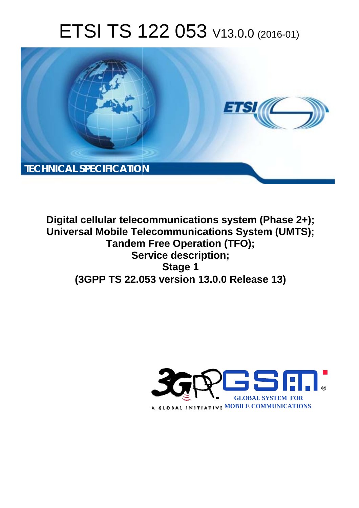# ETSI TS 122 053 V13.0.0 (2016-01)



**Digital cellular telecommunications system (Phase 2+); Universal Mobile Tel elecommunications System ( (UMTS); Tandem m Free Operation (TFO); Ser ervice description; (3GPP TS 22.0 .053 version 13.0.0 Release 13 13) Stage 1** 

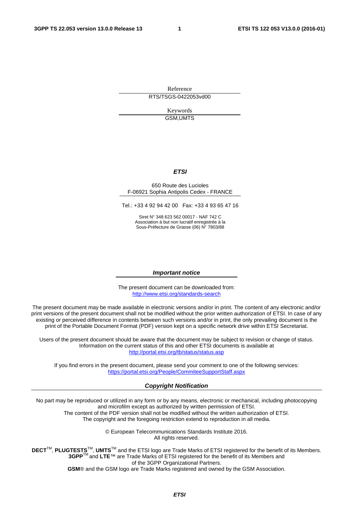Reference RTS/TSGS-0422053vd00

> Keywords GSM,UMTS

#### *ETSI*

#### 650 Route des Lucioles F-06921 Sophia Antipolis Cedex - FRANCE

Tel.: +33 4 92 94 42 00 Fax: +33 4 93 65 47 16

Siret N° 348 623 562 00017 - NAF 742 C Association à but non lucratif enregistrée à la Sous-Préfecture de Grasse (06) N° 7803/88

#### *Important notice*

The present document can be downloaded from: <http://www.etsi.org/standards-search>

The present document may be made available in electronic versions and/or in print. The content of any electronic and/or print versions of the present document shall not be modified without the prior written authorization of ETSI. In case of any existing or perceived difference in contents between such versions and/or in print, the only prevailing document is the print of the Portable Document Format (PDF) version kept on a specific network drive within ETSI Secretariat.

Users of the present document should be aware that the document may be subject to revision or change of status. Information on the current status of this and other ETSI documents is available at <http://portal.etsi.org/tb/status/status.asp>

If you find errors in the present document, please send your comment to one of the following services: <https://portal.etsi.org/People/CommiteeSupportStaff.aspx>

#### *Copyright Notification*

No part may be reproduced or utilized in any form or by any means, electronic or mechanical, including photocopying and microfilm except as authorized by written permission of ETSI.

The content of the PDF version shall not be modified without the written authorization of ETSI. The copyright and the foregoing restriction extend to reproduction in all media.

> © European Telecommunications Standards Institute 2016. All rights reserved.

**DECT**TM, **PLUGTESTS**TM, **UMTS**TM and the ETSI logo are Trade Marks of ETSI registered for the benefit of its Members. **3GPP**TM and **LTE**™ are Trade Marks of ETSI registered for the benefit of its Members and of the 3GPP Organizational Partners.

**GSM**® and the GSM logo are Trade Marks registered and owned by the GSM Association.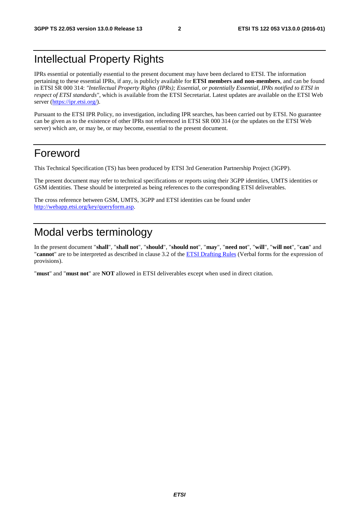### Intellectual Property Rights

IPRs essential or potentially essential to the present document may have been declared to ETSI. The information pertaining to these essential IPRs, if any, is publicly available for **ETSI members and non-members**, and can be found in ETSI SR 000 314: *"Intellectual Property Rights (IPRs); Essential, or potentially Essential, IPRs notified to ETSI in respect of ETSI standards"*, which is available from the ETSI Secretariat. Latest updates are available on the ETSI Web server [\(https://ipr.etsi.org/](https://ipr.etsi.org/)).

Pursuant to the ETSI IPR Policy, no investigation, including IPR searches, has been carried out by ETSI. No guarantee can be given as to the existence of other IPRs not referenced in ETSI SR 000 314 (or the updates on the ETSI Web server) which are, or may be, or may become, essential to the present document.

### Foreword

This Technical Specification (TS) has been produced by ETSI 3rd Generation Partnership Project (3GPP).

The present document may refer to technical specifications or reports using their 3GPP identities, UMTS identities or GSM identities. These should be interpreted as being references to the corresponding ETSI deliverables.

The cross reference between GSM, UMTS, 3GPP and ETSI identities can be found under [http://webapp.etsi.org/key/queryform.asp.](http://webapp.etsi.org/key/queryform.asp)

### Modal verbs terminology

In the present document "**shall**", "**shall not**", "**should**", "**should not**", "**may**", "**need not**", "**will**", "**will not**", "**can**" and "**cannot**" are to be interpreted as described in clause 3.2 of the [ETSI Drafting Rules](http://portal.etsi.org/Help/editHelp!/Howtostart/ETSIDraftingRules.aspx) (Verbal forms for the expression of provisions).

"**must**" and "**must not**" are **NOT** allowed in ETSI deliverables except when used in direct citation.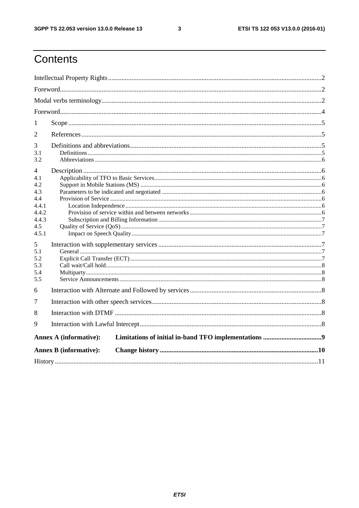$\mathbf{3}$ 

# Contents

| 1                                                                                                                |                               |  |  |  |  |  |  |  |
|------------------------------------------------------------------------------------------------------------------|-------------------------------|--|--|--|--|--|--|--|
| 2                                                                                                                |                               |  |  |  |  |  |  |  |
| 3<br>3.1<br>3.2                                                                                                  |                               |  |  |  |  |  |  |  |
| 4<br>4.1<br>4.2<br>4.3<br>4.4<br>4.4.1<br>4.4.2<br>4.4.3<br>4.5<br>4.5.1<br>5<br>5.1<br>5.2<br>5.3<br>5.4<br>5.5 |                               |  |  |  |  |  |  |  |
| 6                                                                                                                |                               |  |  |  |  |  |  |  |
| 7                                                                                                                |                               |  |  |  |  |  |  |  |
| 8                                                                                                                |                               |  |  |  |  |  |  |  |
| 9                                                                                                                |                               |  |  |  |  |  |  |  |
| <b>Annex A (informative):</b>                                                                                    |                               |  |  |  |  |  |  |  |
|                                                                                                                  | <b>Annex B</b> (informative): |  |  |  |  |  |  |  |
|                                                                                                                  |                               |  |  |  |  |  |  |  |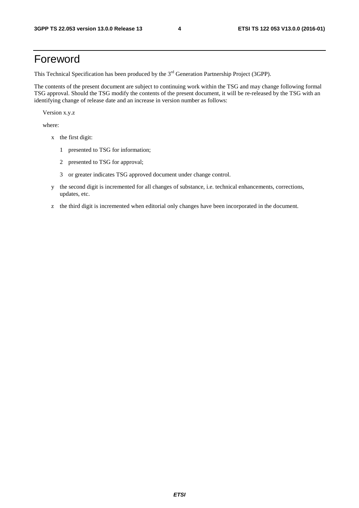### Foreword

This Technical Specification has been produced by the 3<sup>rd</sup> Generation Partnership Project (3GPP).

The contents of the present document are subject to continuing work within the TSG and may change following formal TSG approval. Should the TSG modify the contents of the present document, it will be re-released by the TSG with an identifying change of release date and an increase in version number as follows:

Version x.y.z

where:

- x the first digit:
	- 1 presented to TSG for information;
	- 2 presented to TSG for approval;
	- 3 or greater indicates TSG approved document under change control.
- y the second digit is incremented for all changes of substance, i.e. technical enhancements, corrections, updates, etc.
- z the third digit is incremented when editorial only changes have been incorporated in the document.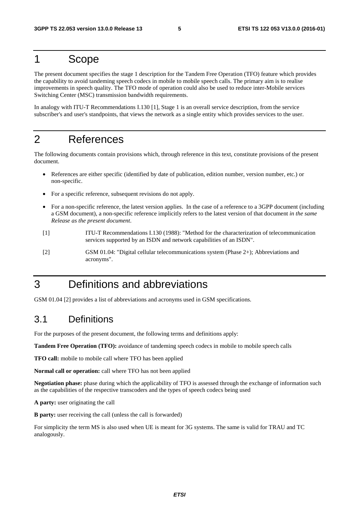### 1 Scope

The present document specifies the stage 1 description for the Tandem Free Operation (TFO) feature which provides the capability to avoid tandeming speech codecs in mobile to mobile speech calls. The primary aim is to realise improvements in speech quality. The TFO mode of operation could also be used to reduce inter-Mobile services Switching Center (MSC) transmission bandwidth requirements.

In analogy with ITU-T Recommendations I.130 [1], Stage 1 is an overall service description, from the service subscriber's and user's standpoints, that views the network as a single entity which provides services to the user.

### 2 References

The following documents contain provisions which, through reference in this text, constitute provisions of the present document.

- References are either specific (identified by date of publication, edition number, version number, etc.) or non-specific.
- For a specific reference, subsequent revisions do not apply.
- For a non-specific reference, the latest version applies. In the case of a reference to a 3GPP document (including a GSM document), a non-specific reference implicitly refers to the latest version of that document *in the same Release as the present document*.
- [1] ITU-T Recommendations I.130 (1988): "Method for the characterization of telecommunication services supported by an ISDN and network capabilities of an ISDN".
- [2] GSM 01.04: "Digital cellular telecommunications system (Phase 2+); Abbreviations and acronyms".

### 3 Definitions and abbreviations

GSM 01.04 [2] provides a list of abbreviations and acronyms used in GSM specifications.

### 3.1 Definitions

For the purposes of the present document, the following terms and definitions apply:

**Tandem Free Operation (TFO):** avoidance of tandeming speech codecs in mobile to mobile speech calls

**TFO call:** mobile to mobile call where TFO has been applied

**Normal call or operation:** call where TFO has not been applied

**Negotiation phase:** phase during which the applicability of TFO is assessed through the exchange of information such as the capabilities of the respective transcoders and the types of speech codecs being used

**A party:** user originating the call

**B party:** user receiving the call (unless the call is forwarded)

For simplicity the term MS is also used when UE is meant for 3G systems. The same is valid for TRAU and TC analogously.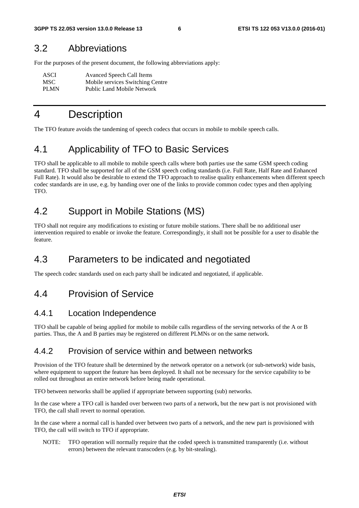#### 3.2 Abbreviations

For the purposes of the present document, the following abbreviations apply:

| ASCI        | <b>Avanced Speech Call Items</b>  |
|-------------|-----------------------------------|
| MSC.        | Mobile services Switching Centre  |
| <b>PLMN</b> | <b>Public Land Mobile Network</b> |

### 4 Description

The TFO feature avoids the tandeming of speech codecs that occurs in mobile to mobile speech calls.

### 4.1 Applicability of TFO to Basic Services

TFO shall be applicable to all mobile to mobile speech calls where both parties use the same GSM speech coding standard. TFO shall be supported for all of the GSM speech coding standards (i.e. Full Rate, Half Rate and Enhanced Full Rate). It would also be desirable to extend the TFO approach to realise quality enhancements when different speech codec standards are in use, e.g. by handing over one of the links to provide common codec types and then applying TFO.

### 4.2 Support in Mobile Stations (MS)

TFO shall not require any modifications to existing or future mobile stations. There shall be no additional user intervention required to enable or invoke the feature. Correspondingly, it shall not be possible for a user to disable the feature.

### 4.3 Parameters to be indicated and negotiated

The speech codec standards used on each party shall be indicated and negotiated, if applicable.

### 4.4 Provision of Service

#### 4.4.1 Location Independence

TFO shall be capable of being applied for mobile to mobile calls regardless of the serving networks of the A or B parties. Thus, the A and B parties may be registered on different PLMNs or on the same network.

#### 4.4.2 Provision of service within and between networks

Provision of the TFO feature shall be determined by the network operator on a network (or sub-network) wide basis, where equipment to support the feature has been deployed. It shall not be necessary for the service capability to be rolled out throughout an entire network before being made operational.

TFO between networks shall be applied if appropriate between supporting (sub) networks.

In the case where a TFO call is handed over between two parts of a network, but the new part is not provisioned with TFO, the call shall revert to normal operation.

In the case where a normal call is handed over between two parts of a network, and the new part is provisioned with TFO, the call will switch to TFO if appropriate.

NOTE: TFO operation will normally require that the coded speech is transmitted transparently (i.e. without errors) between the relevant transcoders (e.g. by bit-stealing).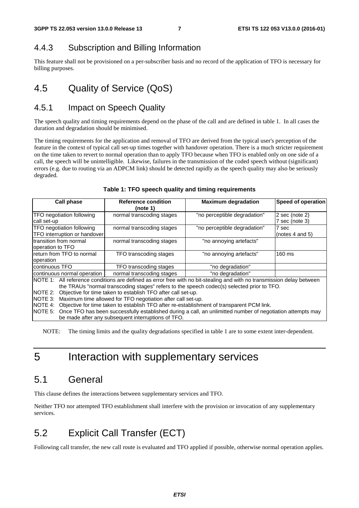#### 4.4.3 Subscription and Billing Information

This feature shall not be provisioned on a per-subscriber basis and no record of the application of TFO is necessary for billing purposes.

### 4.5 Quality of Service (QoS)

#### 4.5.1 Impact on Speech Quality

The speech quality and timing requirements depend on the phase of the call and are defined in table 1. In all cases the duration and degradation should be minimised.

The timing requirements for the application and removal of TFO are derived from the typical user's perception of the feature in the context of typical call set-up times together with handover operation. There is a much stricter requirement on the time taken to revert to normal operation than to apply TFO because when TFO is enabled only on one side of a call, the speech will be unintelligible. Likewise, failures in the transmission of the coded speech without (significant) errors (e.g. due to routing via an ADPCM link) should be detected rapidly as the speech quality may also be seriously degraded.

| Call phase                                                                                                                                                                                                                                                                    | <b>Reference condition</b><br>(note 1) | <b>Maximum degradation</b>   | Speed of operation                 |  |  |  |  |
|-------------------------------------------------------------------------------------------------------------------------------------------------------------------------------------------------------------------------------------------------------------------------------|----------------------------------------|------------------------------|------------------------------------|--|--|--|--|
| TFO negotiation following<br>call set-up                                                                                                                                                                                                                                      | normal transcoding stages              | "no perceptible degradation" | $2$ sec (note 2)<br>7 sec (note 3) |  |  |  |  |
| TFO negotiation following<br>TFO interruption or handover                                                                                                                                                                                                                     | normal transcoding stages              | "no perceptible degradation" | 7 sec<br>(notes 4 and 5)           |  |  |  |  |
| transition from normal<br>operation to TFO                                                                                                                                                                                                                                    | normal transcoding stages              | "no annoying artefacts"      |                                    |  |  |  |  |
| return from TFO to normal<br>loperation                                                                                                                                                                                                                                       | TFO transcoding stages                 | "no annoying artefacts"      | 160 ms                             |  |  |  |  |
| continuous TFO                                                                                                                                                                                                                                                                | TFO transcoding stages                 | "no degradation"             |                                    |  |  |  |  |
| continuous normal operation                                                                                                                                                                                                                                                   | normal transcoding stages              | "no degradation"             |                                    |  |  |  |  |
| NOTE 1: All reference conditions are defined as error free with no bit-stealing and with no transmission delay between<br>the TRAUs "normal transcoding stages" refers to the speech codec(s) selected prior to TFO.                                                          |                                        |                              |                                    |  |  |  |  |
| Objective for time taken to establish TFO after call set-up.<br>INOTE 2:<br>NOTE 3: Maximum time allowed for TFO negotiation after call set-up.                                                                                                                               |                                        |                              |                                    |  |  |  |  |
| NOTE 4: Objective for time taken to establish TFO after re-establishment of transparent PCM link.<br>NOTE 5: Once TFO has been successfully established during a call, an unlimitted number of negotiation attempts may<br>be made after any subsequent interruptions of TFO. |                                        |                              |                                    |  |  |  |  |

#### **Table 1: TFO speech quality and timing requirements**

NOTE: The timing limits and the quality degradations specified in table 1 are to some extent inter-dependent.

### 5 Interaction with supplementary services

### 5.1 General

This clause defines the interactions between supplementary services and TFO.

Neither TFO nor attempted TFO establishment shall interfere with the provision or invocation of any supplementary services.

### 5.2 Explicit Call Transfer (ECT)

Following call transfer, the new call route is evaluated and TFO applied if possible, otherwise normal operation applies.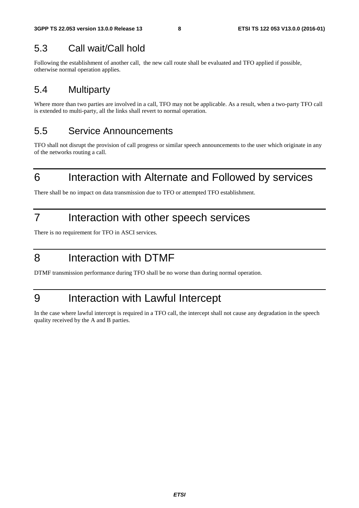### 5.3 Call wait/Call hold

Following the establishment of another call, the new call route shall be evaluated and TFO applied if possible, otherwise normal operation applies.

### 5.4 Multiparty

Where more than two parties are involved in a call, TFO may not be applicable. As a result, when a two-party TFO call is extended to multi-party, all the links shall revert to normal operation.

### 5.5 Service Announcements

TFO shall not disrupt the provision of call progress or similar speech announcements to the user which originate in any of the networks routing a call.

# 6 Interaction with Alternate and Followed by services

There shall be no impact on data transmission due to TFO or attempted TFO establishment.

### 7 Interaction with other speech services

There is no requirement for TFO in ASCI services.

### 8 Interaction with DTMF

DTMF transmission performance during TFO shall be no worse than during normal operation.

## 9 Interaction with Lawful Intercept

In the case where lawful intercept is required in a TFO call, the intercept shall not cause any degradation in the speech quality received by the A and B parties.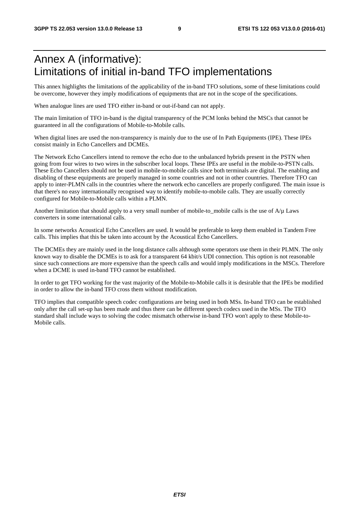### Annex A (informative): Limitations of initial in-band TFO implementations

This annex highlights the limitations of the applicability of the in-band TFO solutions, some of these limitations could be overcome, however they imply modifications of equipments that are not in the scope of the specifications.

When analogue lines are used TFO either in-band or out-if-band can not apply.

The main limitation of TFO in-band is the digital transparency of the PCM lonks behind the MSCs that cannot be guaranteed in all the configurations of Mobile-to-Mobile calls.

When digital lines are used the non-transparency is mainly due to the use of In Path Equipments (IPE). These IPEs consist mainly in Echo Cancellers and DCMEs.

The Network Echo Cancellers intend to remove the echo due to the unbalanced hybrids present in the PSTN when going from four wires to two wires in the subscriber local loops. These IPEs are useful in the mobile-to-PSTN calls. These Echo Cancellers should not be used in mobile-to-mobile calls since both terminals are digital. The enabling and disabling of these equipments are properly managed in some countries and not in other countries. Therefore TFO can apply to inter-PLMN calls in the countries where the network echo cancellers are properly configured. The main issue is that there's no easy internationally recognised way to identify mobile-to-mobile calls. They are usually correctly configured for Mobile-to-Mobile calls within a PLMN.

Another limitation that should apply to a very small number of mobile-to mobile calls is the use of  $A/\mu$  Laws converters in some international calls.

In some networks Acoustical Echo Cancellers are used. It would be preferable to keep them enabled in Tandem Free calls. This implies that this be taken into account by the Acoustical Echo Cancellers.

The DCMEs they are mainly used in the long distance calls although some operators use them in their PLMN. The only known way to disable the DCMEs is to ask for a transparent 64 kbit/s UDI connection. This option is not reasonable since such connections are more expensive than the speech calls and would imply modifications in the MSCs. Therefore when a DCME is used in-band TFO cannot be established.

In order to get TFO working for the vast majority of the Mobile-to-Mobile calls it is desirable that the IPEs be modified in order to allow the in-band TFO cross them without modification.

TFO implies that compatible speech codec configurations are being used in both MSs. In-band TFO can be established only after the call set-up has been made and thus there can be different speech codecs used in the MSs. The TFO standard shall include ways to solving the codec mismatch otherwise in-band TFO won't apply to these Mobile-to-Mobile calls.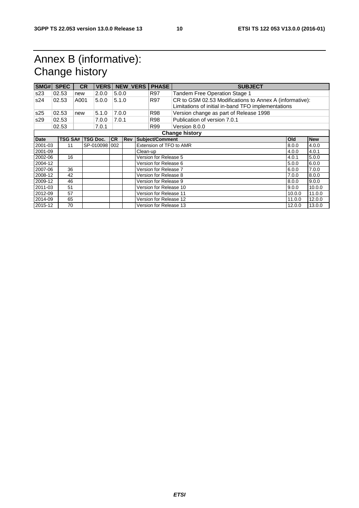# Annex B (informative): Change history

| SMG#                |                       | <b>SPEC</b>    |      | <b>CR</b> | <b>VERS</b>     |           |            | <b>NEW_VERS</b>       | <b>PHASE</b>            | <b>SUBJECT</b>                                          |        |            |
|---------------------|-----------------------|----------------|------|-----------|-----------------|-----------|------------|-----------------------|-------------------------|---------------------------------------------------------|--------|------------|
| s23                 |                       | 02.53          | new  |           | 2.0.0           | 5.0.0     |            |                       | <b>R97</b>              | Tandem Free Operation Stage 1                           |        |            |
| s24                 |                       | 02.53          | A001 |           | 5.0.0           | 5.1.0     |            |                       | <b>R97</b>              | CR to GSM 02.53 Modifications to Annex A (informative): |        |            |
|                     |                       |                |      |           |                 |           |            |                       |                         | Limitations of initial in-band TFO implementations      |        |            |
| s25                 |                       | 02.53          | new  |           | 5.1.0           | 7.0.0     |            |                       | <b>R98</b>              | Version change as part of Release 1998                  |        |            |
| s29                 |                       | 02.53          |      |           | 7.0.0           | 7.0.1     |            |                       | <b>R98</b>              | Publication of version 7.0.1                            |        |            |
|                     |                       | 02.53          |      |           | 7.0.1           |           |            |                       | R99                     | Version 8.0.0                                           |        |            |
|                     | <b>Change history</b> |                |      |           |                 |           |            |                       |                         |                                                         |        |            |
| <b>Date</b>         |                       | <b>TSG SA#</b> |      |           | <b>TSG Doc.</b> | <b>CR</b> | <b>Rev</b> |                       | Subject/Comment         |                                                         | Old    | <b>New</b> |
| 2001-03             |                       | 11             |      |           | SP-010098 002   |           |            |                       | Extension of TFO to AMR |                                                         | 8.0.0  | 4.0.0      |
| 2001-09<br>Clean-up |                       |                |      | 4.0.0     | 4.0.1           |           |            |                       |                         |                                                         |        |            |
| 2002-06             |                       | 16             |      |           |                 |           |            |                       | Version for Release 5   |                                                         | 4.0.1  | 5.0.0      |
| 2004-12             |                       |                |      |           |                 |           |            |                       | Version for Release 6   |                                                         | 5.0.0  | 6.0.0      |
| 2007-06<br>36       |                       |                |      |           |                 |           |            | Version for Release 7 |                         | 6.0.0                                                   | 7.0.0  |            |
| 2008-12             |                       | 42             |      |           |                 |           |            |                       | Version for Release 8   |                                                         | 7.0.0  | 8.0.0      |
| 2009-12             |                       | 46             |      |           |                 |           |            |                       | Version for Release 9   |                                                         | 8.0.0  | 9.0.0      |
| 2011-03             |                       | 51             |      |           |                 |           |            |                       | Version for Release 10  |                                                         | 9.0.0  | 10.0.0     |
| 2012-09             |                       | 57             |      |           |                 |           |            |                       | Version for Release 11  |                                                         | 10.0.0 | 11.0.0     |
| 2014-09             |                       | 65             |      |           |                 |           |            |                       | Version for Release 12  |                                                         | 11.0.0 | 12.0.0     |
| 2015-12             |                       | 70             |      |           |                 |           |            |                       | Version for Release 13  |                                                         | 12.0.0 | 13.0.0     |